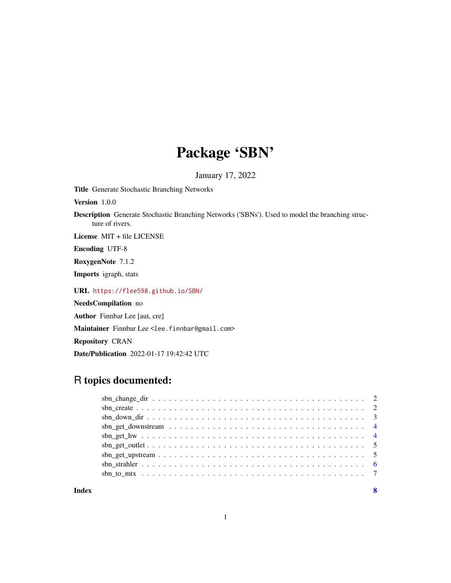## Package 'SBN'

January 17, 2022

<span id="page-0-0"></span>Title Generate Stochastic Branching Networks

Version 1.0.0

Description Generate Stochastic Branching Networks ('SBNs'). Used to model the branching structure of rivers.

License MIT + file LICENSE

Encoding UTF-8

RoxygenNote 7.1.2

Imports igraph, stats

URL <https://flee598.github.io/SBN/>

NeedsCompilation no

Author Finnbar Lee [aut, cre]

Maintainer Finnbar Lee <lee.finnbar@gmail.com>

Repository CRAN

Date/Publication 2022-01-17 19:42:42 UTC

### R topics documented:

**Index** [8](#page-7-0) **8**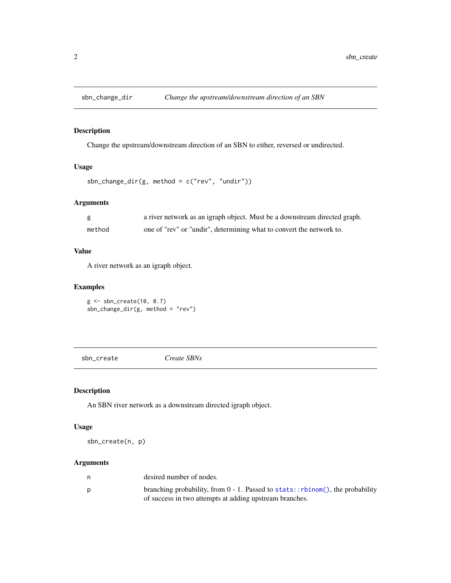<span id="page-1-0"></span>

#### Description

Change the upstream/downstream direction of an SBN to either, reversed or undirected.

#### Usage

```
sbn_change_dir(g, method = c("rev", "undir"))
```
#### Arguments

|        | a river network as an igraph object. Must be a downstream directed graph. |
|--------|---------------------------------------------------------------------------|
| method | one of "rev" or "undir", determining what to convert the network to.      |

#### Value

A river network as an igraph object.

#### Examples

g <- sbn\_create(10, 0.7) sbn\_change\_dir(g, method = "rev")

sbn\_create *Create SBNs*

#### Description

An SBN river network as a downstream directed igraph object.

#### Usage

sbn\_create(n, p)

#### Arguments

| n | desired number of nodes.                                                          |
|---|-----------------------------------------------------------------------------------|
| D | branching probability, from $0 - 1$ . Passed to stats:: rbinom(), the probability |
|   | of success in two attempts at adding upstream branches.                           |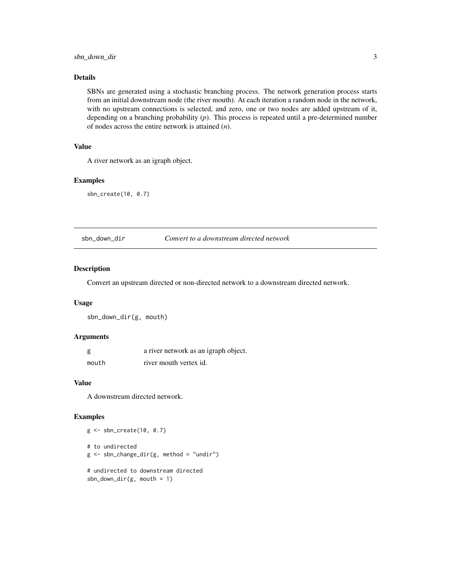#### <span id="page-2-0"></span>Details

SBNs are generated using a stochastic branching process. The network generation process starts from an initial downstream node (the river mouth). At each iteration a random node in the network, with no upstream connections is selected, and zero, one or two nodes are added upstream of it, depending on a branching probability (*p*). This process is repeated until a pre-determined number of nodes across the entire network is attained (*n*).

#### Value

A river network as an igraph object.

#### Examples

sbn\_create(10, 0.7)

sbn\_down\_dir *Convert to a downstream directed network*

#### Description

Convert an upstream directed or non-directed network to a downstream directed network.

#### Usage

sbn\_down\_dir(g, mouth)

#### Arguments

|       | a river network as an igraph object. |
|-------|--------------------------------------|
| mouth | river mouth vertex id.               |

#### Value

A downstream directed network.

g <- sbn\_create(10, 0.7)

#### Examples

```
# to undirected
g \le - \text{sbn\_change\_dir}(g, \text{ method} = \text{"undir"})# undirected to downstream directed
sbn_down_dir(g, mouth = 1)
```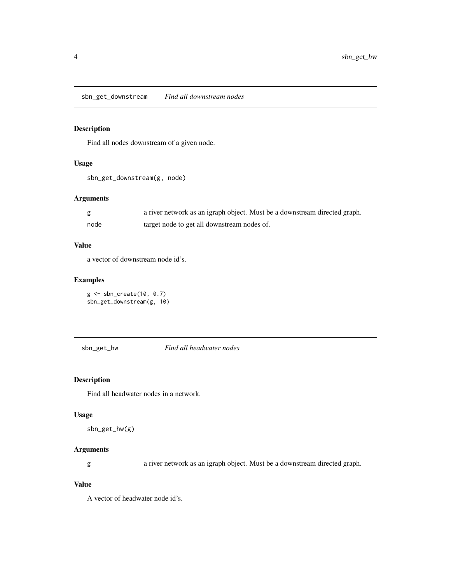<span id="page-3-0"></span>sbn\_get\_downstream *Find all downstream nodes*

#### Description

Find all nodes downstream of a given node.

#### Usage

```
sbn_get_downstream(g, node)
```
#### Arguments

|      | a river network as an igraph object. Must be a downstream directed graph. |
|------|---------------------------------------------------------------------------|
| node | target node to get all downstream nodes of.                               |

#### Value

a vector of downstream node id's.

#### Examples

```
g <- sbn_create(10, 0.7)
sbn_get_downstream(g, 10)
```
sbn\_get\_hw *Find all headwater nodes*

#### Description

Find all headwater nodes in a network.

#### Usage

```
sbn_get_hw(g)
```
#### Arguments

g a river network as an igraph object. Must be a downstream directed graph.

#### Value

A vector of headwater node id's.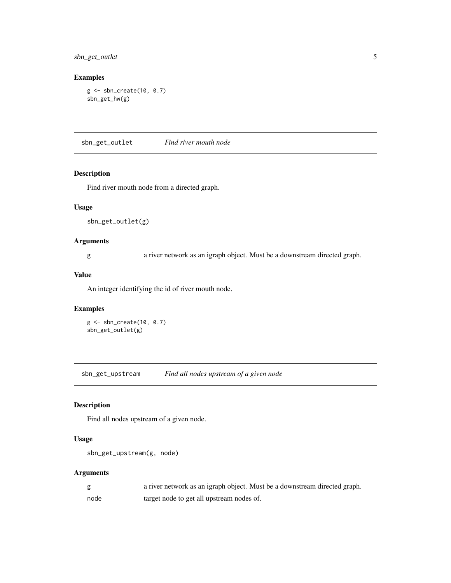<span id="page-4-0"></span>sbn\_get\_outlet 5

#### Examples

```
g <- sbn_create(10, 0.7)
sbn_get_hw(g)
```
sbn\_get\_outlet *Find river mouth node*

#### Description

Find river mouth node from a directed graph.

#### Usage

sbn\_get\_outlet(g)

#### Arguments

g a river network as an igraph object. Must be a downstream directed graph.

#### Value

An integer identifying the id of river mouth node.

#### Examples

g <- sbn\_create(10, 0.7) sbn\_get\_outlet(g)

sbn\_get\_upstream *Find all nodes upstream of a given node*

#### Description

Find all nodes upstream of a given node.

#### Usage

```
sbn_get_upstream(g, node)
```
#### Arguments

|      | a river network as an igraph object. Must be a downstream directed graph. |
|------|---------------------------------------------------------------------------|
| node | target node to get all upstream nodes of.                                 |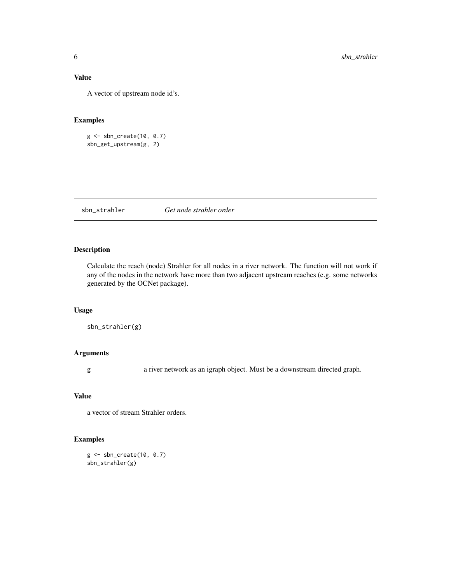#### <span id="page-5-0"></span>Value

A vector of upstream node id's.

#### Examples

g <- sbn\_create(10, 0.7) sbn\_get\_upstream(g, 2)

sbn\_strahler *Get node strahler order*

#### Description

Calculate the reach (node) Strahler for all nodes in a river network. The function will not work if any of the nodes in the network have more than two adjacent upstream reaches (e.g. some networks generated by the OCNet package).

#### Usage

```
sbn_strahler(g)
```
#### Arguments

g a river network as an igraph object. Must be a downstream directed graph.

#### Value

a vector of stream Strahler orders.

#### Examples

g <- sbn\_create(10, 0.7) sbn\_strahler(g)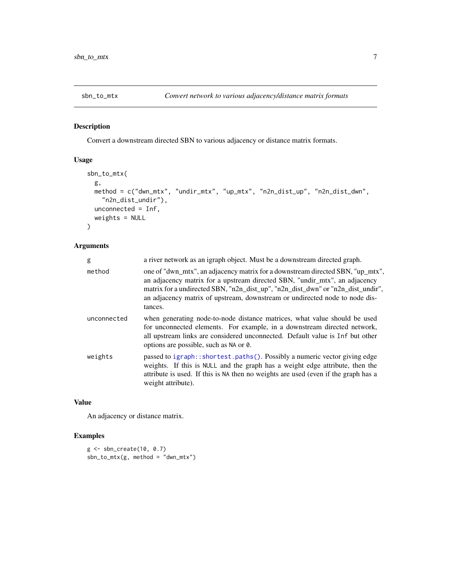<span id="page-6-0"></span>

#### Description

Convert a downstream directed SBN to various adjacency or distance matrix formats.

#### Usage

```
sbn_to_mtx(
 g,
 method = c("dwn_mtx", "undir_mtx", "up_mtx", "n2n_dist_up", "n2n_dist_dwn",
    "n2n_dist_undir"),
 unconnected = Inf,
 weights = NULL
)
```
#### Arguments

| g           | a river network as an igraph object. Must be a downstream directed graph.                                                                                                                                                                                                                                                                 |
|-------------|-------------------------------------------------------------------------------------------------------------------------------------------------------------------------------------------------------------------------------------------------------------------------------------------------------------------------------------------|
| method      | one of "dwn_mtx", an adjacency matrix for a downstream directed SBN, "up_mtx",<br>an adjacency matrix for a upstream directed SBN, "undir_mtx", an adjacency<br>matrix for a undirected SBN, "n2n_dist_up", "n2n_dist_dwn" or "n2n_dist_undir",<br>an adjacency matrix of upstream, downstream or undirected node to node dis-<br>tances. |
| unconnected | when generating node-to-node distance matrices, what value should be used<br>for unconnected elements. For example, in a downstream directed network,<br>all upstream links are considered unconnected. Default value is Inf but other<br>options are possible, such as NA or 0.                                                          |
| weights     | passed to igraph::shortest.paths(). Possibly a numeric vector giving edge<br>weights. If this is NULL and the graph has a weight edge attribute, then the<br>attribute is used. If this is NA then no weights are used (even if the graph has a<br>weight attribute).                                                                     |

#### Value

An adjacency or distance matrix.

#### Examples

```
g <- sbn_create(10, 0.7)
sbn_to_mtx(g, method = "dwn_mtx")
```